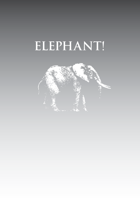# **ELEPHANT!**

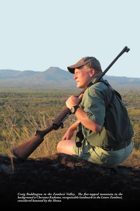

*Craig Boddington in the Zambezi Valley. The flat-topped mountain in the background is Cherama Kadoma, recognizable landmark in the Lower Zambezi, considered haunted by the Shona.*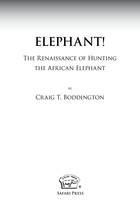# **ELEPHANT!**

## The Renaissance of Hunting the African Elephant

**BY** 

## Craig T. Boddington



**Safari Press**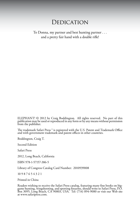### **DEDICATION**

To Donna, my partner and best hunting partner . . . and a pretty fair hand with a double rifle!

ELEPHANT! © 2012 by Craig Boddington. All rights reserved. No part of this publication may be used or reproduced in any form or by any means without permission from the publisher.

The trademark Safari Press ® is registered with the U.S. Patent and Trademark Office and with government trademark and patent offices in other countries.

Boddington, Craig T.

Second Edition

Safari Press

2012, Long Beach, California

ISBN 978-1-57157-386-5

Library of Congress Catalog Card Number: 2010939008

10 9 8 7 6 5 4 3 2 1

Printed in China

Readers wishing to receive the Safari Press catalog, featuring many fine books on biggame hunting, wingshooting, and sporting firearms, should write to Safari Press, P.O. Box 3095, Long Beach, CA 90803, USA. Tel: (714) 894-9080 or visit our Web site at www.safaripress.com.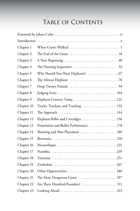## Table of Contents

| Introduction |                                                                                          |
|--------------|------------------------------------------------------------------------------------------|
| Chapter 1    |                                                                                          |
| Chapter 2    |                                                                                          |
| Chapter 3    |                                                                                          |
| Chapter 4    |                                                                                          |
| Chapter 5    |                                                                                          |
| Chapter 6    |                                                                                          |
| Chapter 7    |                                                                                          |
| Chapter 8    |                                                                                          |
| Chapter 9    |                                                                                          |
| Chapter 10   |                                                                                          |
| Chapter 11   | The Approach $\ldots \ldots \ldots \ldots \ldots \ldots \ldots \ldots \ldots \ldots 144$ |
| Chapter 12   | Elephant Rifles and Cartridges 156                                                       |
| Chapter 13   | Penetration and Bullet Performance 178                                                   |
| Chapter 14   | Shooting and Shot Placement 189                                                          |
| Chapter 15   |                                                                                          |
| Chapter 16   |                                                                                          |
| Chapter 17   |                                                                                          |
| Chapter 18   |                                                                                          |
| Chapter 19   |                                                                                          |
| Chapter 20   |                                                                                          |
| Chapter 21   | The Most Dangerous Game  297                                                             |
| Chapter 22   | Are There Hundred-Pounders? 311                                                          |
| Chapter 23   |                                                                                          |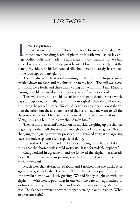### Foreword

t was a big track. . . .

It was a big track....<br>We started early and followed the track for most of the day. We came across breeding herds, elephant bulls with smallish tusks, and huge-bodied bulls that made me appreciate my companions, for we had We started early and followed the track for most of the day. We came across breeding herds, elephant bulls with smallish tusks, and some close encounters with these great beasts. I knew instinctively that the man by my side, with his left-handed rifle shouldered and ready, has walked in the footsteps of many giants.

The midafternoon heat was beginning to take its toll. Drops of sweat trickled down my face, and my shirt clung to my back. The bull was close! His tracks were fresh, and there was a young bull with him. I saw Maburo tensing up—like a bird dog smelling its quarry a few paces ahead.

Then we saw the bull and his askari in the mopane shrub. After a whole day's anticipation, we finally had him in our sights! Then the bull turned, disturbing the peaceful scene. We could clearly see that one tusk was shorter than the other, but the absolute mass of the tusks made me want to tell the client to take a shot. I hesitated, then looked at my client and said to him: "Craig, it is a big bull; I think we should take him."

The fraction of a second's hesitation on my side, weighing up the chances of getting another bull this size, was enough to spook the old giant. With a changing wind giving away our presence, he hightailed away at a staggering pace that only elephants seem capable of doing.

I turned to Craig and said: "His ivory is going to be heavy. I do not think that the shorter tusk should worry us. It is a formidable elephant!"

Craig nodded in agreement, and we followed the elephant at a steady pace. Knowing we were in pursuit, the elephant quickened his pace and the hunt was on!

Much later that afternoon, Maburo and I noticed that the tracks once again were getting fresh. The old bull had changed his pace from a run into a walk; now he was slowly grazing. We had finally caught up with our elephant! With hearts pounding in our ears, we carefully approached to within seventeen paces of the bull and made our way to a large shepherd's tree. The elephant towered above the mopane, facing in our direction. What an awesome sight!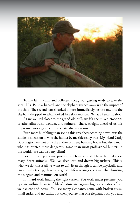

To my left, a calm and collected Craig was getting ready to take the shot: His .450-3¼ barked, and the elephant turned away with the impact of the shot. The second barrel barked almost immediately next to me, and the elephant dropped in what looked like slow motion. What a fantastic shot!

As we walked closer to the grand old bull, we felt the mixed emotions of adrenaline rush, wonder, and sadness. There, straight ahead of us, his impressive ivory gleamed in the late afternoon sun.

Even more humbling than seeing this great beast coming down, was the sudden realization of who the hunter by my side really was. My friend Craig Boddington was not only the author of many hunting books but also a man who has hunted more dangerous game than most professional hunters in the world. He was also my client!

For fourteen years my professional hunters and I have hunted these magnificent animals. We live, sleep, eat, and dream big tuskers. This is what we do; this is all we want to do! Even though it can be physically and emotionally taxing, there is no greater life-altering experience than hunting the biggest land mammal on earth!

It is hard work finding the right tusker: You work under pressure; you operate within the secret folds of nature and against high expectations from your client and peers. You see many elephants, some with broken tusks, small tusks, and no tusks, but then you see that one elephant both you and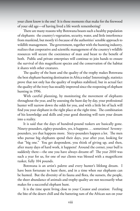your client know is the one! It is those moments that make for the firewood of your old age—of having lived a life worth remembering!

There are many reasons why Botswana boasts such a healthy population of elephants: the country's vegetation, security, water, and little interference from mankind, but mostly it's because of the authorities' sensible approach to wildlife management. The government, together with the hunting industry, realizes that cooperative and scientific management of the country's wildlife resources will secure the coexistence of man and beast to the benefit of both. Public and private enterprises will continue to join hands to ensure the survival of this magnificent species and the conservation of the habitat it shares with other creatures.

The quality of the hunt and the quality of the trophy makes Botswana the best elephant-hunting destination in Africa today! Interestingly, statistics prove that not only has the quality of trophies stabilized, but in actual fact the quality of the ivory has steadily improved since the reopening of elephant hunting in 1996.

With careful planning, by monitoring the movement of elephants throughout the year, and by assessing the hunt day by day, your professional hunter will narrow down the odds for you, and with a little bit of luck will find you your elephant in the right place at the right time. The combination of his knowledge and skills and your good shooting will turn your dream into a reality.

It is said that the days of hundred-pound tuskers are basically gone. Ninety-pounders, eighty-pounders, yes, it happens . . . sometimes! Seventypounders, yes that happens more. Sixty-pounders happen a lot. The men who pursue big elephants spend their days, year after year, looking for that "big one." You get despondent, you think of giving up, and then, after many days of hard work, it happens! Around the corner, your bull is suddenly there—the one you have always dreamt of! The year 2010 was such a year for us, for one of our clients was blessed with a magnificent tusker, fully 104 pounds.

Botswana is an artist's palette and every hunter's lifelong dream. I have been fortunate to hunt there, and in a time when our elephants can be hunted. But the diversity of its fauna and flora, the sunsets, the people, the sheer abundance of animals and trophy quality are not necessarily what makes for a successful elephant hunt.

It is the time spent living close to your Creator and creation: Feeling the bite of the desert chill and the battering ram of the African sun on your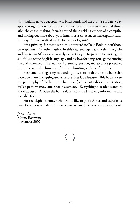skin; waking up to a cacophony of bird sounds and the promise of a new day; appreciating the coolness from your water bottle down your parched throat after the chase; making friends around the crackling embers of a campfire; and finding out more about your innermost self. A successful elephant safari is to say: "I have walked in the footsteps of giants!"

It is a privilege for me to write this foreword to Craig Boddington's book on elephants. No other author in this day and age has traveled the globe and hunted in Africa as extensively as has Craig. His passion for writing, his skillful use of the English language, and his love for dangerous-game hunting is world renowned. The analytical planning, passion, and accuracy portrayed in this book makes him one of the best hunting authors of his time.

Elephant hunting is my love and my life, so to be able to read a book that covers so many intriguing and accurate facts is a pleasure. This book covers the philosophy of the hunt, the hunt itself, choice of calibers, penetration, bullet performance, and shot placement. Everything a reader wants to know about an African elephant safari is captured in a very informative and readable fashion.

For the elephant hunter who would like to go to Africa and experience one of the most wonderful hunts a person can do, this is a must-read book!

Johan Calitz Maun, Botswana November 2010

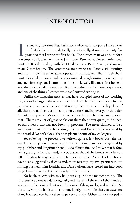### Introduction

It's amazing how time flies. Fully twenty-five years have passed since I took my first elephant . . . and, totally coincidentally, it was also twenty-five years ago that I wrote my first book. The former event was a hunt f t's amazing how time flies. Fully twenty-five years have passed since I took my first elephant . . . and, totally coincidentally, it was also twenty-five  $\mathsf L$  years ago that I wrote my first book. The former event was a hunt for a hunter in Rhodesia, along with Ian Henderson and Brian Marsh; and my old friend Geoff Broom. The latter three are now retired; Peter is still hunting, and thus is now the senior safari operator in Zimbabwe. That first elephant hunt, though short, was a total success, a mind-altering learning experience—as anyone's first elephant is sure to be. The book, well, like most first books, I wouldn't exactly call it a success. But it was also an educational experience, and one of the things I learned was that I enjoyed writing it.

Unlike the magazine articles that have occupied most of my working life, a book belongs to the writer. There are few editorial guidelines to follow, no word counts, no advertisers that need to be mentioned. Perhaps best of all, there are no firm deadlines and no editor standing over your shoulder. A book is soup when it's soup. Of course, you have to be a bit careful about that. There are a lot of great books out there that never quite get finished! So far, at least, that has not been my problem. I've never claimed to be a great writer, but I enjoy the writing process, and I've never been visited by the dreaded 'writer's block' that has plagued some of my colleagues.

So, enjoying the process, I've written quite a few books over the last quarter century. Some have been my idea. Some have been suggested by my publisher and longtime friend, Ludo Wurfbain. As I've written before, he's a great guy for ideas and, as a publisher should, he knows what he can sell. His ideas have generally been better than mine! A couple of my books have been suggested by friends and, more recently, my two partners in our filming business, Tim Danklef and Dave Fulson, have steered me into book projects—and assisted tremendously in the process.

No book, at least with me, has been a spur of the moment thing. The first sentence alone is a daunting task, and the rest of the tens of thousands of words must be pounded out over the course of days, weeks, and months. So the conceiving of a book cannot be done lightly. But within that context, some of my book projects have taken shape very quickly. Others have developed as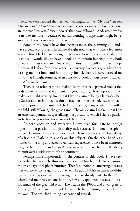milestones were reached that seemed meaningful to me. My first "ten-year African book," *Mount Kenya to the Cape* is a good example . . . but better ones are the two "ten-year African books" that have followed. And, yes, now five years into my fourth decade of African hunting, I hope there might be yet another. Those books were fun to write!

Some of my books have thus been years in the planning . . . and I have a couple of projects in my head right now that will take a few more years before I feel I have enough experience to write them properly. For instance, I would like to have a book on mountain hunting in my body of work . . . but there are a lot of mountains I must still climb, so I hope I remain able for a few more years. But twenty-five years ago, when I was writing my first book and hunting my first elephant, it never crossed my mind that I might someday even consider a book on our present subject, the African elephant.

There is no other game animal on Earth that has spawned such a rich body of literature—and it all remains good reading. It is important that I make clear right now, up front, that I lay no claim to being a latter-day Bell, or Sutherland, or Hunter. I claim no fraction of their experience, nor that of the great professional hunters of the last fifty years, many of whom are still in the field, still following the great game. The only claim I make is that I am an American journalist, specializing in a pursuit for which I share a passion with those of you who choose to read these lines.

As both vocation and avocation I have been fortunate to indulge myself in that passion through a fairly active career. I am not an elephant expert. I cannot bring the experience of a Tony Sanchez or the knowledge of a Richard Harland to a book on this subject. On the other hand, as a hunter with a long and eclectic African experience, I have been mentored by great hunters . . . and as an American writer, I have had the flexibility to hunt over a wide swath of the continent.

Perhaps more importantly, in the context of this book, I have seen incredible changes in the thirty-odd years since I first hunted Africa. I missed the great days of elephant hunting. There's no point in lamenting, because they will never come again . . . but when I began my African career we didn't realize those days weren't just passing, but were already past. In the 1980s, when I did my first elephant hunting, I was disappointed because I'd read too much of the great old stuff. Then came the 1990s, and I was grateful for the (little) elephant hunting I'd done. The handwriting seemed clear on the wall: The time for hunting elephant had passed.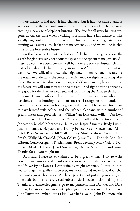Fortunately it had not. It had changed, but it had not passed, and as we moved into the new millennium it became ever more clear that we were entering a new age of elephant hunting. The free-for-all ivory hunting was gone, as was the time when a visiting sportsman had a fair chance to take a really huge tusker. Instead we were reaching a time when regulated sport hunting was essential to elephant management . . . and we will be in that time for the foreseeable future.

So this book isn't about the history of elephant hunting, or about the search for giant tuskers, nor about the specifics of elephant management. All these subjects have been covered well by more experienced hunters than I. Instead it's about elephant hunting in modern Africa, in our Twenty-First Century. We will, of course, take trips down memory lane, because it's important to understand the context in which modern elephant hunting takes place. But we will not dwell on the past, and although we might speculate on the future, we will concentrate on the present. And right now the present is very good for the African elephant, and for hunting the African elephant.

Since I have confessed that I am simply an American journalist who has done a bit of hunting, it's important that I recognize that I could not have written this book without a great deal of help. I have been fortunate to have hunted wild Africa, and the African elephant, with a number of great hunters and good friends: Willem Van Dyk (and Willem Van Dyk Junior), Barrie Duckworth, Roger Whittall, Geoff and Russ Broom, Peter Johnstone, Michel Mantheakis, Luke and Jasper Samaras, Rudy Lubin, Jacques Lemaux, Negussie and Danny Eshete, Sissai Shewemene, Alain Lefol, Peter Swanepoel, Cliff Walker, Rory Muil, Andrew Dawson, Paul Smith, Willy MacDonald, Johan Calitz, Jamy Traut, Dirk de Bod, Ian Gibson, Corne Kruger, J. P. Kleinhans, Brent Leesmay, Mark Valaro, Ivan Carter, Mark Haldane, Jaco Oosthuizen, Debbie Visser . . . and more. Thanks for all you taught me!

As I said, I have never claimed to be a great writer. I try to write honestly and simply, and thanks to the wonderful English department at the University of Kansas, I can write a straight sentence. I leave it up to you to judge the quality. However, my work should make it obvious that I am not a great photographer! The elephant is not just a big subject (pun intended), but also a very visual subject. So I needed help, and I got it. Thanks and acknowledgments go to my partners, Tim Danklef and Dave Fulson, for tireless assistance with photography and research. Then there's John Dugmore. When I was a kid I watched a young John Dugmore take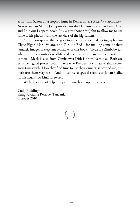actor John Saxon on a leopard hunt in Kenya on *The American Sportsman.*  Now retired in Maun, John provided invaluable assistance when Tim, Dave, and I did our Leopard book. It is a great honor for John to allow me to use some of his photos from the last days of the big tuskers.

And a most special thanks goes to some really talented photographers— Clyde Elgar, Mark Valaro, and Dirk de Bod—for making some of their fantastic images of elephant available for this book. Clyde is a Zimbabwean who loves his country's wildlife and spends every spare moment with his camera. Mark is also from Zimbabwe; Dirk is from Namibia. Both are extremely good professional hunters who I've been fortunate to share some great times with. How they find time to use their cameras is beyond me, but both use them very well. And, of course, a special thanks to Johan Calitz for his much-too-kind foreword.

With this kind of help, I hope my words are up to the task!

Craig Boddington Rungwa Game Reserve, Tanzania October 2010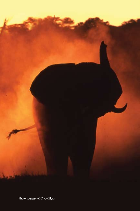

(Photo courtesy of Clyde Elgar)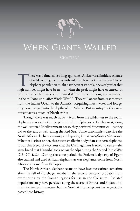

There was a time, not so long ago, when Africa was a limitless expanse<br>of wild country, teeming with wildlife. It is not known when Africa's<br>elephant population might have been at its peak, or exactly what that<br>high number of wild country, teeming with wildlife. It is not known when Africa's elephant population might have been at its peak, or exactly what that high number might have been—or when the peak might have occurred. It is certain that elephants once roamed Africa in the millions, and remained in the millions until after World War II. They still occur from east to west, from the Indian Ocean to the Atlantic. Requiring much water and forage, they never ranged into the depths of the Sahara. But in antiquity they were present across much of North Africa.

Though there was much trade in ivory from the wilderness to the south, elephants were extinct in Egypt by the time of pharaohs. Farther west, along the well-watered Mediterranean coast, they persisted for centuries—as they did to the east as well, along the Red Sea. Some taxonomists describe the North African elephant as a unique subspecies, *Loxodonta africana pharaoensis.* Whether distinct or not, these were smaller in body than southern elephants. It was this breed of elephants that the Carthaginians learned to tame—the same breed that Hannibal took across the Alps during the Second Punic War (218–201 B.C.). During the same period, the Ptolemaic dynasty of Egypt also trained and used African elephants as war elephants, some from North Africa and some from Ethiopia.

The North African elephant seems to have become extinct sometime after the fall of Carthage, maybe in the second century, probably from overhunting by the Roman legions for use in the Coliseum. Isolated populations may have persisted along the coasts of Eritrea and Sudan until the mid-nineteenth century, but the North African elephant has, regrettably, passed into history.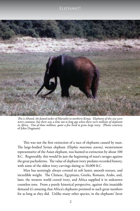

*This is Ahmed, the famed tusker of Marsabit in northern Kenya. Elephants of this size were never common, but there was a time not so long ago when there were millions of elephants in Africa. Out of those millions, quite a few lived to grow large ivory.* (Photo courtesy of John Dugmore)

This was not the first extinction of a race of elephants caused by man. The large-bodied Syrian elephant *(Elephas maximus asurus),* westernmost representative of the Asian elephant, was hunted to extinction by about 100 B.C. Regrettably, this would be just the beginning of man's ravages against the great pachyderms. The value of elephant ivory predates recorded history, with some of the oldest ivory carvings dating to 10,000 B.C.

Man has seemingly always coveted its soft luster, smooth texture, and incredible weight. The Chinese, Egyptians, Greeks, Romans, Arabs, and, later, the western world craved ivory, and Africa supplied it in unknown countless tons. From a purely historical perspective, against this insatiable demand it's amazing that Africa's elephants persisted in such great numbers for as long as they did. Unlike many other species, in the elephants' favor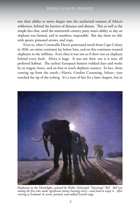was their ability to move deeper into the uncharted vastness of Africa's wilderness, behind the barriers of distance and disease. This as well as the simple fact that, until the nineteenth century puny man's ability to slay an elephant was limited, and in numbers, impossible. But slay them we did, with spears, poisoned arrows, and traps.

Even so, when Cornwallis Harris penetrated north from Cape Colony in 1836, an entire continent lay before him, and on this continent roamed elephants in the millions. Even then it was not as if there was an elephant behind every bush. Africa is huge. It was not then, nor is it now, all preferred habitat. The earliest European hunters trekked days and weeks by ox wagon, horse, and on foot to reach elephant country. In fact, those coming up from the south—Harris, Gordon Cumming, Selous—just touched the tip of the iceberg. It's a turn of fate for a later chapter, but in



Elephants in the Moonlight, *painted by Walter Dalrymple "Karamojo" Bell. Bell was among the few who made significant money hunting ivory—and lived to enjoy it. After retiring to Scotland, he wrote, painted, and stalked Scottish stags.*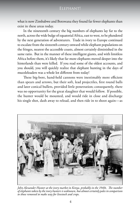what is now Zimbabwe and Botswana they found far fewer elephants than exist in these areas today.

In the nineteenth century the big numbers of elephants lay far to the north, across the wide bulge of equatorial Africa, east to west, to be plundered by the next generation of adventurers. Trade in ivory to Europe continued to escalate from the sixteenth century onward while elephant populations on the fringes, nearest the accessible coasts, almost certainly diminished in the same ratio. But in the manner of these intelligent giants, and with limitless Africa before them, it's likely that far more elephants moved deeper into the hinterlands than were killed. If you read some of the oldest accounts, and you should, you will quickly realize that elephant hunting in the days of muzzleloaders was a whole lot different from today!

These big-bore, hand-held cannons were inestimably more efficient than spears and arrows, but their soft, lead projectiles, first round balls and later conical bullets, provided little penetration; consequently, there was no opportunity for the great slaughter that would follow. If possible, the hunter would be mounted, and would ride in close and discharge his single shot, dash away to reload, and then ride in to shoot again—as



*John Alexander Hunter at the ivory market in Kenya, probably in the 1940s. The number of elephants taken by the ivory hunters is unknown, but almost certainly pales in comparison to those removed to make way for livestock and crops.*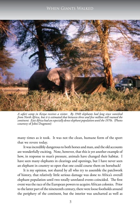

*A safari camp in Kenya receives a visitor. By 1940 elephants had long since vanished from North Africa, but it is estimated that between three and five million still roamed the continent. East Africa had an especially dense elephant population until the 1970s.* (Photo courtesy of John Dugmore)

many times as it took. It was not the clean, humane form of the sport that we revere today.

It was incredibly dangerous to both horses and man, and the old accounts are wonderfully exciting. Note, however, that this is yet another example of how, in response to man's pressure, animals have changed their habitat. I have seen many elephants in clearings and openings, but I have never seen an elephant in country so open that one could course them on horseback!

It is my opinion, not shared by all who try to assemble the patchwork of history, that relatively little serious damage was done to Africa's overall elephant population until two totally unrelated events coincided. The first event was the race of the European powers to acquire African colonies. Prior to the latter part of the nineteenth century, there were loose footholds around the periphery of the continent, but the interior was uncharted as well as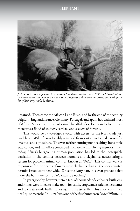

*J. A. Hunter and a female client with a fine Kenya tusker, circa 1935. Elephants of this size were never common and never a sure thing—but they were out there, and with just a bit of luck they could be found.*

untamed. Then came the African Land Rush, and by the end of the century Belgium, England, France, Germany, Portugal, and Spain had claimed most of Africa. Suddenly, instead of a small handful of explorers and adventurers, there was a flood of soldiers, settlers, and seekers of fortune.

This would be a two-edged sword, with access for the ivory trade just one blade. Wildlife was forcibly removed from vast areas to make room for livestock and agriculture. This was neither hunting nor poaching, but simple eradication, and this effort continued until well within living memory. Even today, Africa's burgeoning human population has led to the inescapable escalation in the conflict between humans and elephants, necessitating a system for problem animal control, known as "PAC." This control work is responsible for the deaths of many more elephants than all the sport-hunted permits issued continent-wide. Since the ivory ban, it is even probable that more elephants are lost to PAC than to poaching!

In years gone by, however, untold tens of thousands of elephants, buffaloes, and rhinos were killed to make room for cattle, crops, and settlement schemes and to create sterile buffer zones against the tsetse fly. This effort continued until quite recently. In 1979 I was one of the first hunters on Roger Whittall's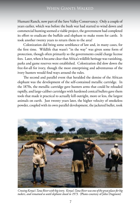Humani Ranch, now part of the Save Valley Conservancy. Only a couple of years earlier, which was before the bush war had started to wind down and commercial hunting seemed a viable project, the government had completed its effort to eradicate the buffalo and elephant to make room for cattle. It took another twenty years to return them to the area!

Colonization did bring some semblance of law and, in many cases, for the first time. Wildlife that wasn't "in the way" was given some form of protection, though often primarily so the governments could charge license fees. Later, when it became clear that Africa's wildlife heritage was vanishing, parks and game reserves were established. Colonization did slow down the free-for-all for ivory, though the most enterprising and adventurous of the ivory hunters would find ways around the rules.

The second and parallel event that heralded the demise of the African elephant was the development of the self-contained metallic cartridge. In the 1870s, the metallic cartridge gave hunters arms that could be reloaded rapidly, and large-caliber cartridges with hardened conical bullets gave them tools that made it practical to actually kill outright, more or less, the largest animals on earth. Just twenty years later, the higher velocity of smokeless powder, coupled with its own parallel development, the jacketed bullet, took



*Crossing Kenya's Tana River with big ivory. Kenya's Tana River was one of the great places for big tuskers, and remained so until elephant closed in 1973.* (Photo courtesy of John Dugmore)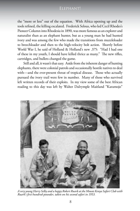#### Elephant!

the "more or less" out of the equation. With Africa opening up and the tools refined, the killing escalated. Frederick Selous, who led Cecil Rhodes's Pioneer Column into Rhodesia in 1890, was more famous as an explorer and naturalist than as an elephant hunter, but as a young man he had hunted ivory and was among the few who made the transitions from muzzleloader to breechloader and then to the high-velocity bolt action. Shortly before World War I, he said of Holland & Holland's new .375: "Had I had one of these in my youth, I should have killed thrice as many." The new rifles, cartridges, and bullets changed the game.

Still and all, it wasn't that easy. Aside from the inherent danger of hunting elephants, there were colonial patrols and occasionally hostile natives to deal with—and the ever-present threat of tropical disease. Those who actually pursued the ivory trail were few in number. Many of those who survived left written records of their exploits. In my view some of the best African reading to this day was left by Walter Dalrymple Maitland "Karamojo"



*A very young Harry Selby and a happy Robert Ruark at the Mount Kenya Safari Club with Ruark's first hundred-pounder, taken on his second safari in 1953.*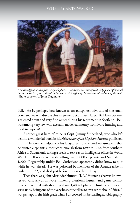

*Eric Rundgren with a fine Kenya elephant. Rundgren was one of relatively few professional hunters who truly specialized in big ivory. A tough guy, he was considered one of the best.*  (Photo courtesy of John Dugmore)

Bell. He is, perhaps, best known as an outspoken advocate of the small bore, and we will discuss this in greater detail much later. Bell later became a talented artist and very fine writer during his retirement in Scotland. Bell was among very few who actually made real money from ivory hunting and lived to enjoy it!

Another great hero of mine is Capt. Jimmy Sutherland, who also left behind a wonderful book in his *Adventures of an Elephant Hunter,* published in 1912, before the midpoint of his long career. Sutherland was unique in that he hunted elephants almost continuously from 1899 to 1932, from southern Africa to Sudan, only taking a break to serve as an intelligence officer in World War I. Bell is credited with killing over 1,000 elephants and Sutherland 1,200. Regrettably, unlike Bell, Sutherland apparently didn't know to quit while he was ahead. He was poisoned by members of the Azande tribe in Sudan in 1932, and died just before his sixtieth birthday.

Then there was John Alexander Hunter. "J. A." Hunter, as he was known, served variously as an ivory hunter, professional hunter, and game control officer. Credited with shooting about 1,400 elephants, Hunter continues to serve us by being one of the very best storytellers to ever write about Africa. I was perhaps in the fifth grade when I discovered his bestselling autobiography,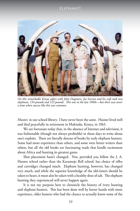#### Elephant!



*On this remarkable Kenya safari with John Dugmore, Joe Iverson and his wife took two elephants, 134 pounds and 123 pounds. This was in the late 1960s—but there was never a time when success like this was common.*

*Hunter,* in our school library. I have never been the same. Hunter lived well and died peacefully in retirement in Makindu, Kenya, in 1963.

We are fortunate today that, in the absence of Internet and television, it was fashionable (though not always profitable) in those days to write about one's exploits. There are literally dozens of books by early elephant hunters. Some had more experience than others, and some were better writers than others, but all the old books are fascinating reads that kindle excitement about Africa and hunting its greatest game.

Shot placement hasn't changed. Nor, provided you follow the J. A. Hunter school rather than the Karamojo Bell school, has choice of rifles and cartridges changed much. Elephant hunting, however, has changed very much, and while the superior knowledge of the old-timers should be taken to heart, it must also be taken with a healthy dose of salt. The elephant hunting they experienced will never happen again.

It is not my purpose here to chronicle the history of ivory hunting and elephant hunters. This has been done well by better hands with more experience, older hunters who had the chance to actually know some of the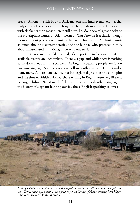greats. Among the rich body of Africana, one will find several volumes that truly chronicle the ivory trail. Tony Sanchez, with more varied experience with elephants than most hunters still alive, has done several great books on the old elephant hunters. Brian Herne's *White Hunters* is a classic, though it's more about professional hunters than ivory hunters. J. A. Hunter wrote as much about his contemporaries and the hunters who preceded him as about himself, and his writing is always wonderful.

But in researching old material, it's important to be aware that our available records are incomplete. There is a gap, and while there is nothing easily done about it, it is a problem. As English-speaking people, we follow our own language. So we know about Bell and Sutherland and Hunter and so many more. And remember, too, that in the glory days of the British Empire, and the time of British colonies, those writing in English were very likely to be Anglophiliac.What we don't know unless we speak other languages is the history of elephant hunting outside those English-speaking colonies.



*In the good old days a safari was a major expedition—but usually not on a scale quite like this. This caravan is the mobile safari created for the filming of* Hatari *starring John Wayne.*  (Photo courtesy of John Dugmore)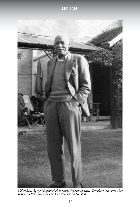

*Walter Bell, the most famous of all the early elephant hunters. This photo was taken after WW II on Bell's beloved estate, Corriemoillie, in Scotland.*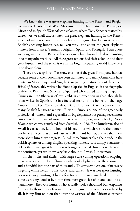We know there was great elephant hunting in the French and Belgian colonies of Central and West Africa—and for that matter, in Portuguese Africa and in Spain's West African colonies, where Tony Sanchez started his career. As we shall discuss later, the great elephant hunting in the French sphere of influence lasted until very late in the game, but I as an American, English-speaking hunter can tell you very little about the great elephant hunters from France, Germany, Belgium, Spain, and Portugal. I can quote you song and verse on Bell and his colleagues, but I know little about hunting in so many other nations. All these great nations had their colonies and their great hunters, and the truth is we in the English-speaking world know very little about them.

There are exceptions. We know of some of the great Portuguese hunters because some of their books have been translated, and many Americans have hunted in Mozambique and Angola, thus passing on stories about these men. *Winds of Havoc,* ably written by Fiona Capstick in English, is the biography of Adelino Pires. Tony Sanchez, a Spaniard who started hunting in Spanish Guinea in 1952 (the year of my birth), is an exception in that, though he often writes in Spanish, he has focused many of his books on the large American market. We know about Baron Bror von Blixen, a Swede, from many English-language writers. Blixen is famous as one of the great early professional hunters (and a specialist on big elephants) but perhaps even more famous as the husband of writer Karen Blixen. He, too, wrote a book, *African Hunter,* which was translated from Swedish in 1938. Eric Rundgren, also of Swedish extraction, left no book of his own (for which we are the poorer), but he left a legend as a hard case as well as hard hunter, and we shall hear more about him as we progress. But all these hunters plied their trade in the British sphere, or among English-speaking hunters. It is simply a statement of fact that much great hunting was being conducted throughout the rest of the continent, yet we know very little about it. I wish I knew more.

In the fifties and sixties, with large-scale culling operations ongoing, there were some number of hunters who took elephants into the thousands, and a handful into the tens of thousands. This was eradication, of necessity targeting entire herds—bulls, cows, and calves. It was not sport hunting, nor was it ivory hunting. I have a few friends who were involved in this, and some were very good at it, but in time most grew sick of it, and couldn't do it anymore. The ivory hunters who actually took a thousand bull elephants for their teeth were very few in number. Again, mine is not a view held by all. It is my firm opinion that given the vastness of the African continent,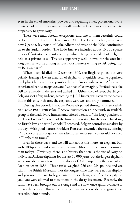#### Elephant!

even in the era of smokeless powder and repeating rifles, professional ivory hunters had little impact on the overall numbers of elephants or their genetic propensity to grow ivory.

There were undoubtedly exceptions, and one of them certainly could be found in the Lado Enclave, circa 1909. The Lado Enclave, in what is now Uganda, lay north of Lake Albert and west of the Nile, continuing on to the Sudan border. The Lado Enclave included about 10,000 square miles of fantastic elephant country, which King Leopold II of Belgium held as a private lease. This was apparently well known, for the area had long been a favorite among serious ivory hunters willing to risk being shot by Belgian patrols.

When Leopold died in December 1909, the Belgians pulled out very quickly, leaving a lawless area full of elephants. It quickly became populated by elephant hunters. It was possibly the only "ivory rush" seen in Africa, with experienced hands, neophytes, and "wannabes" converging. Professionals like Bell were already in the area and cashed in. Others died of fever, the diligent Belgians shot a few, and one, according to J. A. Hunter, was eaten by the natives. But in this once-rich area, the elephants were well and truly hammered.

During this period, Theodore Roosevelt passed through this area while on his epic 1909–1910 safari. Roosevelt insisted on a dinner with an available group of the Lado ivory hunters and offered a toast to "the ivory poachers of the Lado Enclave." Several of the hunters protested, for they were breaking no British law, and with Leopold II deceased, Belgian control was shakier by the day. With good nature, President Roosevelt reworded the toast, offering it "To the company of gentlemen adventurers—for such you would be called in Elizabethan times."

Even in those days, and we will talk about this more, an elephant bull with 100-pound tusks was a rare animal (though much more common than today). Obviously, there is no history that details the size of ivory on individual African elephants for the last 10,000 years, but the largest elephant we know about was taken on the slopes of Kilimanjaro by the slave of an Arab trader in 1886. These tusks weighed 226 and 214 pounds and are still in the British Museum. For the longest time they were not on display, and you used to have to beg a curator to see them, and if he took pity on you, you were allowed to view them in the dusty basement. Recently, the tusks have been brought out of storage and are now, once again, available to the regular visitor. This is the only elephant we know about to grow tusks exceeding 200 pounds.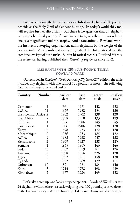Somewhere along the line someone established an elephant of 100 pounds per side as the Holy Grail of elephant hunting. In today's world this, too, will require further discussion. But there is no question that an elephant carrying a hundred pounds of ivory in one tusk, whether on two sides or one, is a magnificent and rare trophy. And a rare animal. Rowland Ward, the first record-keeping organization, ranks elephants by the weight of the heaviest tusk. More sensibly, at least to me, Safari Club International uses the combined weight of both tusks. But for historical records, Rowland Ward is the reference, having published their *Records of Big Game* since 1892.

#### **Elephants with 120-Plus-Pound Tusks, Rowland Ward**

(As recorded in *Rowland Ward's Records of Big Game* 27<sup>th</sup> edition, the table includes any elephant with one tusk of 120 pounds or more. The following data list the largest recorded tusk.)

| Country                                   | <b>Number</b>  | earliest<br>date | last<br>date | largest<br>tusk | smallest<br>tusk |
|-------------------------------------------|----------------|------------------|--------------|-----------------|------------------|
| Cameroon                                  | 1              | 1961             | 1961         | 132             | 132              |
| C.A.R.                                    | 11             | 1959             | 1982         | 154             | 120              |
|                                           |                | 1902             | 1902         | 138             | 128              |
| East-Central Africa 2<br>East Africa<br>2 |                | 1898             | 1958         | 133             | 129              |
|                                           | 1              | 1986             |              | 145             | 145              |
| Ethiopia                                  |                |                  | 1986         |                 |                  |
| Ivory Coast                               | 1              | 1906             | 1906         | 128             | 128              |
| Kenya                                     | 46             | 1898             | 1973         | 172             | 120              |
| Mozambique                                | 2              | 1936             | 1953         | 185             | 122              |
| R.S.A.                                    | 9              | 1982             | 1988         | 157             | 122              |
| Sierra Leone                              | $\overline{2}$ | 1909             | 1927         | 138             | 125              |
| Somalia                                   | $\mathbf{1}$   | 1965             | 1965         | 146             | 146              |
| Sudan                                     | 10             | 1902             | 1979         | 161             | 126              |
| Tanzania                                  | 19             | 1898             | 1976         | 226             | 120              |
| Togo                                      | $\overline{2}$ | 1902             | 1921         | 138             | 138              |
| Uganda                                    | 6              | 1902             | 1969         | 179             | 121              |
| Unknown                                   | 12             | 1891             | 1961         | 184             | 140              |
| Zaire                                     | 3              | 1944             | 1978         | 198             | 149              |
| Zimbabwe                                  | $\mathfrak{D}$ | 1967             | 1984         | 143             | 132              |

Let's take a step up, and look at super elephants. Rowland Ward lists just 24 elephants with the heaviest tusk weighing over 150 pounds, just two dozen in the known history of African hunting. Take a step down, and there are just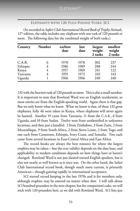#### **Elephants with 120-Plus-Pound Tusks, SCI**

(As recorded in *Safari Club International Record Book of Trophy Animals,*  12<sup>th</sup> edition, the table includes any elephant with one tusk of 120 pounds or more. The following data list the combined weight of both tusks.)

| Country  | <b>Number</b> | earliest<br>date | last<br>date | largest<br>weight<br>2 tusks | smallest<br>weight<br>2 tusks |
|----------|---------------|------------------|--------------|------------------------------|-------------------------------|
| C.A.R.   | 6             | 1970             | 1978         | 302                          | 237                           |
| Ethiopia | 4             | 1986             | 1989         | 288                          | 244                           |
| Kenya    | 4             | 1957             | 1969         | 241                          | 122                           |
| Tanzania | 4             | 1955             | 1972         | 245                          | 143                           |
| Uganda   |               | 1966             | 1966         | 240                          | 240                           |

132 with the heaviest tusk of 120 pounds or more. This is also a small number. It is important to note that Rowland Ward was an English taxidermist, so most entries are from the English-speaking world. Again there is that gap. But we only know what we know. What we know is that, of these 132 great elephants, fully 46 were taken in Kenya, where elephants will never again be hunted. Another 19 came from Tanzania, 11 from the C.A.R., 6 from Uganda, and 10 from Sudan. Twelve were from unidentified or unknown locations, and then just a handful: 2 from Zimbabwe, 3 from Zaire, 2 from Mozambique, 9 from South Africa, 2 from Sierra Leone, 2 from Togo, and one each from Cameroon, Ethiopia, Ivory Coast, and Somalia. Two each came from several locations in East-Central Africa and East Africa.

The record books are always the best resource for where the largest trophies may be taken—but the true validity depends on the data base, and applicability to modern conditions depends on how things have or haven't changed. Rowland Ward is not just slanted toward English speakers, but is also not nearly as well known as it once was. On the other hand, the Safari Club International record book, though much more current, is primarily American—though gaining rapidly in international acceptance.

SCI started record keeping in the late 1970s and is for members only, although trophies may be entered no matter when shot. I will talk about SCI hundred-pounders in the next chapter, but for comparison's sake, we will stick with 120-pounders here, as we did with Rowland Ward. SCI lists just